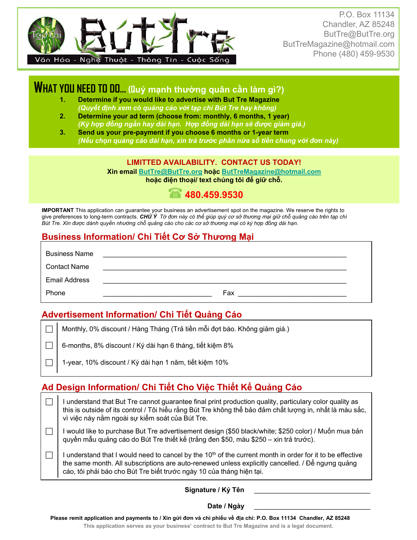

P.O. Box 11134 Chandler, AZ 85248 ButTre@ButTre.org ButTreMagazine@hotmail.com Phone (480) 459-9530

## **WHAT YOU NEED TO DO… (Quý mạnh thường quân cần làm gì?)**

- **1. Determine if you would like to advertise with But Tre Magazine**  *(Quyết định xem có quảng cáo với tạp chí Bút Tre hay không)*
- **2. Determine your ad term (choose from: monthly, 6 months, 1 year)**  *(Ký hợp đồng ngắn hay dài hạn. Hợp đồng dài hạn sẽ được giảm giá.)*
- **3. Send us your pre-payment if you choose 6 months or 1-year term**  (Nếu chọn quảng cáo dài hạn, xin trả trước phân nửa số tiền chung với đơn này)

#### **LIMITTED AVAILABILITY. CONTACT US TODAY!**

**Xin email ButTre@ButTre.org hoặc ButTreMagazine@hotmail.com hoặc điện thoại/ text chúng tôi để giữ chỗ.**

## **480.459.9530**

**IMPORTANT** This application can guarantee your business an advertisement spot on the magazine. We reserve the rights to give preferences to long-term contracts. CHÚ Ý Tờ đơn này có thể giúp quý cơ sở thương mại giữ chỗ quảng cáo trên tạp chí Bút Tre. Xin được dành quyền nhường chỗ quảng cáo cho các cơ sở thượng mai có ký hợp đồng dài han.

### **Business Information/ Chi Tiết Cơ Sở Thương Mại**

| <b>Business Name</b> |     |
|----------------------|-----|
| <b>Contact Name</b>  |     |
| <b>Email Address</b> |     |
| Phone                | Fax |

#### **Advertisement Information/ Chi Tiết Quảng Cáo**

 $\Box$  Monthly, 0% discount / Hàng Tháng (Trả tiền mỗi đợt báo. Không giảm giá.)

6-months, 8% discount / Ký dài hạn 6 tháng, tiết kiệm 8%

1-year, 10% discount / Ký dài hạn 1 năm, tiết kiệm 10%

## **Ad Design Information/ Chi Tiết Cho Việc Thiết Kế Quảng Cáo**

 $\Box$  I understand that But Tre cannot guarantee final print production quality, particulary color quality as this is outside of its control / Tôi hiểu rằng Bút Tre không thể bảo đảm chất lượng in, nhất là màu sắc, vì việc này nằm ngoài sự kiểm soát của Bút Tre. I would like to purchase But Tre advertisement design (\$50 black/white; \$250 color) / Muốn mua bản quyền mẫu quảng cáo do Bút Tre thiết kế (trắng đen \$50, màu \$250 – xin trả trước). I I understand that I would need to cancel by the 10<sup>th</sup> of the current month in order for it to be effective the same month. All subscriptions are auto-renewed unless explicitly cancelled. / Để ngưng quảng cáo, tôi phải báo cho Bút Tre biết trước ngày 10 của tháng hiện tại.

#### Signature / Ký Tên

#### Date / Ngày

**Please remit application and payments to / Xin gửi đơn và chi phiếu về địa chỉ: P.O. Box 11134 Chandler, AZ 85248**

**This application serves as your business' contract to But Tre Magazine and is a legal document.**